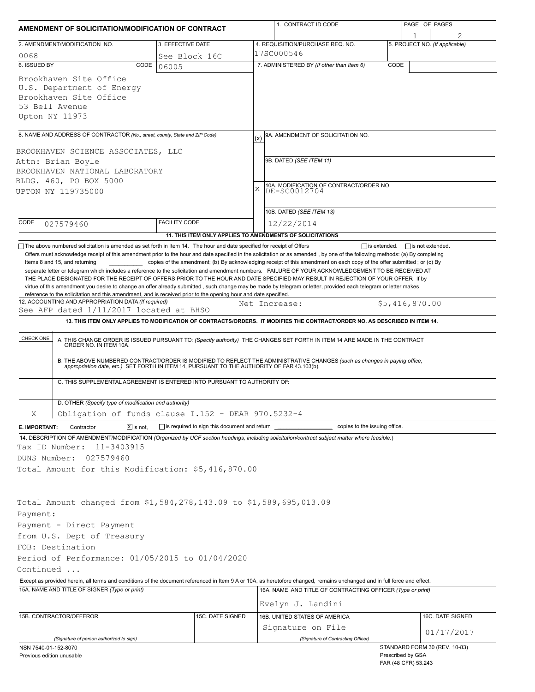| AMENDMENT OF SOLICITATION/MODIFICATION OF CONTRACT                                                                                                                                                                |               |                                                                          |                                                              | 1. CONTRACT ID CODE                                                                                                                                                                                                   | PAGE OF PAGES     |                                                      |  |  |  |
|-------------------------------------------------------------------------------------------------------------------------------------------------------------------------------------------------------------------|---------------|--------------------------------------------------------------------------|--------------------------------------------------------------|-----------------------------------------------------------------------------------------------------------------------------------------------------------------------------------------------------------------------|-------------------|------------------------------------------------------|--|--|--|
| 2. AMENDMENT/MODIFICATION NO.                                                                                                                                                                                     |               | 3. EFFECTIVE DATE                                                        |                                                              | 4. REQUISITION/PURCHASE REQ. NO.                                                                                                                                                                                      |                   | 5. PROJECT NO. (If applicable)                       |  |  |  |
| 0068                                                                                                                                                                                                              |               | See Block 16C                                                            |                                                              | 17SC000546                                                                                                                                                                                                            |                   |                                                      |  |  |  |
| 6. ISSUED BY                                                                                                                                                                                                      | CODE<br>06005 |                                                                          |                                                              | 7. ADMINISTERED BY (If other than Item 6)                                                                                                                                                                             | CODE              |                                                      |  |  |  |
| Brookhaven Site Office<br>U.S. Department of Energy<br>Brookhaven Site Office<br>53 Bell Avenue<br>Upton NY 11973                                                                                                 |               |                                                                          |                                                              |                                                                                                                                                                                                                       |                   |                                                      |  |  |  |
|                                                                                                                                                                                                                   |               |                                                                          |                                                              |                                                                                                                                                                                                                       |                   |                                                      |  |  |  |
| 8. NAME AND ADDRESS OF CONTRACTOR (No., street, county, State and ZIP Code)                                                                                                                                       |               |                                                                          | (x)                                                          | 9A. AMENDMENT OF SOLICITATION NO.                                                                                                                                                                                     |                   |                                                      |  |  |  |
| BROOKHAVEN SCIENCE ASSOCIATES, LLC                                                                                                                                                                                |               |                                                                          |                                                              | 9B. DATED (SEE ITEM 11)                                                                                                                                                                                               |                   |                                                      |  |  |  |
| Attn: Brian Boyle                                                                                                                                                                                                 |               |                                                                          |                                                              |                                                                                                                                                                                                                       |                   |                                                      |  |  |  |
| BROOKHAVEN NATIONAL LABORATORY                                                                                                                                                                                    |               |                                                                          |                                                              |                                                                                                                                                                                                                       |                   |                                                      |  |  |  |
| BLDG. 460, PO BOX 5000<br>UPTON NY 119735000                                                                                                                                                                      |               |                                                                          | 10A. MODIFICATION OF CONTRACT/ORDER NO.<br>DE-SC0012704<br>X |                                                                                                                                                                                                                       |                   |                                                      |  |  |  |
|                                                                                                                                                                                                                   |               |                                                                          |                                                              |                                                                                                                                                                                                                       |                   |                                                      |  |  |  |
|                                                                                                                                                                                                                   |               |                                                                          |                                                              | 10B. DATED (SEE ITEM 13)                                                                                                                                                                                              |                   |                                                      |  |  |  |
| CODE<br>027579460                                                                                                                                                                                                 |               | <b>FACILITY CODE</b>                                                     |                                                              | 12/22/2014                                                                                                                                                                                                            |                   |                                                      |  |  |  |
|                                                                                                                                                                                                                   |               |                                                                          |                                                              |                                                                                                                                                                                                                       |                   |                                                      |  |  |  |
| The above numbered solicitation is amended as set forth in Item 14. The hour and date specified for receipt of Offers                                                                                             |               |                                                                          |                                                              | 11. THIS ITEM ONLY APPLIES TO AMENDMENTS OF SOLICITATIONS                                                                                                                                                             |                   | $\Box$ is extended, $\Box$ is not extended.          |  |  |  |
| reference to the solicitation and this amendment, and is received prior to the opening hour and date specified.<br>12. ACCOUNTING AND APPROPRIATION DATA (If required)<br>See AFP dated 1/11/2017 located at BHSO |               |                                                                          |                                                              | Net Increase:                                                                                                                                                                                                         |                   | \$5,416,870.00                                       |  |  |  |
|                                                                                                                                                                                                                   |               |                                                                          |                                                              | 13. THIS ITEM ONLY APPLIES TO MODIFICATION OF CONTRACTS/ORDERS. IT MODIFIES THE CONTRACT/ORDER NO. AS DESCRIBED IN ITEM 14.                                                                                           |                   |                                                      |  |  |  |
| CHECK ONE                                                                                                                                                                                                         |               |                                                                          |                                                              | A. THIS CHANGE ORDER IS ISSUED PURSUANT TO: (Specify authority) THE CHANGES SET FORTH IN ITEM 14 ARE MADE IN THE CONTRACT ORDER NO. IN ITEM 10A.                                                                      |                   |                                                      |  |  |  |
|                                                                                                                                                                                                                   |               |                                                                          |                                                              | B. THE ABOVE NUMBERED CONTRACT/ORDER IS MODIFIED TO REFLECT THE ADMINISTRATIVE CHANGES (such as changes in paying office, appropriation date, etc.) SET FORTH IN ITEM 14, PURSUANT TO THE AUTHORITY OF FAR 43.103(b). |                   |                                                      |  |  |  |
|                                                                                                                                                                                                                   |               | C. THIS SUPPLEMENTAL AGREEMENT IS ENTERED INTO PURSUANT TO AUTHORITY OF: |                                                              |                                                                                                                                                                                                                       |                   |                                                      |  |  |  |
| D. OTHER (Specify type of modification and authority)                                                                                                                                                             |               |                                                                          |                                                              |                                                                                                                                                                                                                       |                   |                                                      |  |  |  |
| Χ                                                                                                                                                                                                                 |               | Obligation of funds clause I.152 - DEAR 970.5232-4                       |                                                              |                                                                                                                                                                                                                       |                   |                                                      |  |  |  |
| Contractor<br>E. IMPORTANT:                                                                                                                                                                                       | $X$ is not.   |                                                                          |                                                              | copies to the issuing office.                                                                                                                                                                                         |                   |                                                      |  |  |  |
|                                                                                                                                                                                                                   |               |                                                                          |                                                              | 14. DESCRIPTION OF AMENDMENT/MODIFICATION (Organized by UCF section headings, including solicitation/contract subject matter where feasible.)                                                                         |                   |                                                      |  |  |  |
| Tax ID Number:<br>11-3403915                                                                                                                                                                                      |               |                                                                          |                                                              |                                                                                                                                                                                                                       |                   |                                                      |  |  |  |
| DUNS Number:<br>027579460                                                                                                                                                                                         |               |                                                                          |                                                              |                                                                                                                                                                                                                       |                   |                                                      |  |  |  |
| Total Amount for this Modification: \$5,416,870.00                                                                                                                                                                |               |                                                                          |                                                              |                                                                                                                                                                                                                       |                   |                                                      |  |  |  |
|                                                                                                                                                                                                                   |               |                                                                          |                                                              |                                                                                                                                                                                                                       |                   |                                                      |  |  |  |
|                                                                                                                                                                                                                   |               |                                                                          |                                                              |                                                                                                                                                                                                                       |                   |                                                      |  |  |  |
| Total Amount changed from \$1,584,278,143.09 to \$1,589,695,013.09                                                                                                                                                |               |                                                                          |                                                              |                                                                                                                                                                                                                       |                   |                                                      |  |  |  |
| Payment:                                                                                                                                                                                                          |               |                                                                          |                                                              |                                                                                                                                                                                                                       |                   |                                                      |  |  |  |
| Payment - Direct Payment                                                                                                                                                                                          |               |                                                                          |                                                              |                                                                                                                                                                                                                       |                   |                                                      |  |  |  |
| from U.S. Dept of Treasury                                                                                                                                                                                        |               |                                                                          |                                                              |                                                                                                                                                                                                                       |                   |                                                      |  |  |  |
| FOB: Destination                                                                                                                                                                                                  |               |                                                                          |                                                              |                                                                                                                                                                                                                       |                   |                                                      |  |  |  |
| Period of Performance: 01/05/2015 to 01/04/2020                                                                                                                                                                   |               |                                                                          |                                                              |                                                                                                                                                                                                                       |                   |                                                      |  |  |  |
| Continued                                                                                                                                                                                                         |               |                                                                          |                                                              |                                                                                                                                                                                                                       |                   |                                                      |  |  |  |
|                                                                                                                                                                                                                   |               |                                                                          |                                                              | Except as provided herein, all terms and conditions of the document referenced in Item 9 A or 10A, as heretofore changed, remains unchanged and in full force and effect.                                             |                   |                                                      |  |  |  |
| 15A. NAME AND TITLE OF SIGNER (Type or print)                                                                                                                                                                     |               |                                                                          |                                                              | 16A. NAME AND TITLE OF CONTRACTING OFFICER (Type or print)<br>Evelyn J. Landini                                                                                                                                       |                   |                                                      |  |  |  |
|                                                                                                                                                                                                                   |               |                                                                          |                                                              |                                                                                                                                                                                                                       |                   |                                                      |  |  |  |
| 15B. CONTRACTOR/OFFEROR                                                                                                                                                                                           |               | 15C. DATE SIGNED                                                         |                                                              | 16B. UNITED STATES OF AMERICA                                                                                                                                                                                         |                   | 16C. DATE SIGNED                                     |  |  |  |
|                                                                                                                                                                                                                   |               |                                                                          |                                                              | Signature on File                                                                                                                                                                                                     |                   | 01/17/2017                                           |  |  |  |
| (Signature of person authorized to sign)                                                                                                                                                                          |               |                                                                          |                                                              | (Signature of Contracting Officer)                                                                                                                                                                                    |                   |                                                      |  |  |  |
| NSN 7540-01-152-8070<br>Previous edition unusable                                                                                                                                                                 |               |                                                                          |                                                              |                                                                                                                                                                                                                       | Prescribed by GSA | STANDARD FORM 30 (REV. 10-83)<br>FAR (48 CFR) 53.243 |  |  |  |